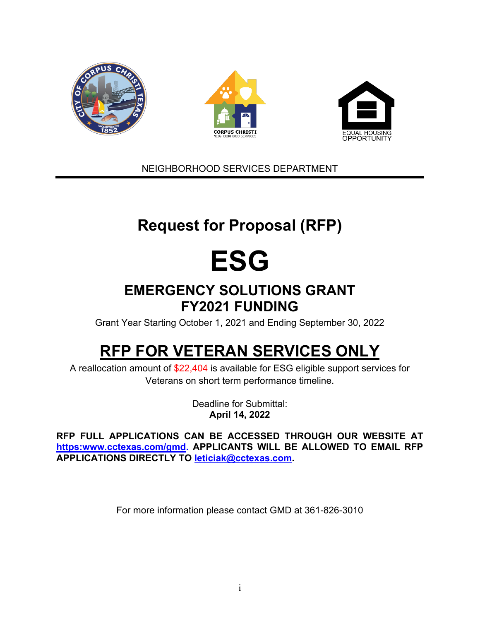

NEIGHBORHOOD SERVICES DEPARTMENT

# **Request for Proposal (RFP)**

# **ESG**

## **EMERGENCY SOLUTIONS GRANT FY2021 FUNDING**

Grant Year Starting October 1, 2021 and Ending September 30, 2022

# **RFP FOR VETERAN SERVICES ONLY**

A reallocation amount of \$22,404 is available for ESG eligible support services for Veterans on short term performance timeline.

> Deadline for Submittal: **April 14, 2022**

**RFP FULL APPLICATIONS CAN BE ACCESSED THROUGH OUR WEBSITE AT https:www.cctexas.com/gmd. APPLICANTS WILL BE ALLOWED TO EMAIL RFP APPLICATIONS DIRECTLY TO [leticiak@cctexas.com.](mailto:leticiak@cctexas.com)**

For more information please contact GMD at 361-826-3010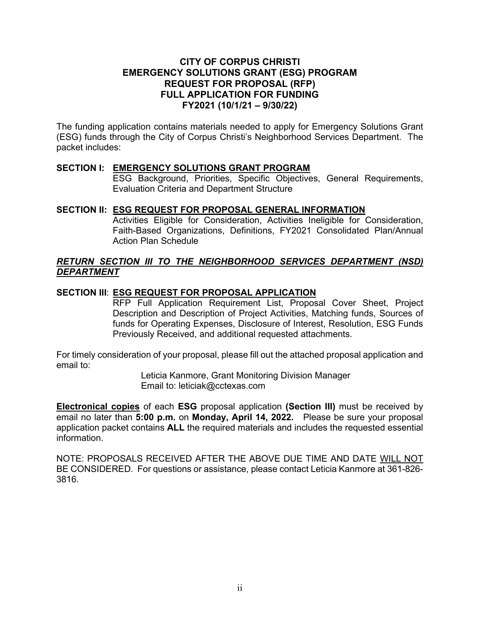#### **CITY OF CORPUS CHRISTI EMERGENCY SOLUTIONS GRANT (ESG) PROGRAM REQUEST FOR PROPOSAL (RFP) FULL APPLICATION FOR FUNDING FY2021 (10/1/21 – 9/30/22)**

The funding application contains materials needed to apply for Emergency Solutions Grant (ESG) funds through the City of Corpus Christi's Neighborhood Services Department. The packet includes:

#### **SECTION I: EMERGENCY SOLUTIONS GRANT PROGRAM**

ESG Background, Priorities, Specific Objectives, General Requirements, Evaluation Criteria and Department Structure

#### **SECTION II: ESG REQUEST FOR PROPOSAL GENERAL INFORMATION**

Activities Eligible for Consideration, Activities Ineligible for Consideration, Faith-Based Organizations, Definitions, FY2021 Consolidated Plan/Annual Action Plan Schedule

#### *RETURN SECTION III TO THE NEIGHBORHOOD SERVICES DEPARTMENT (NSD) DEPARTMENT*

#### **SECTION III**: **ESG REQUEST FOR PROPOSAL APPLICATION**

RFP Full Application Requirement List, Proposal Cover Sheet, Project Description and Description of Project Activities, Matching funds, Sources of funds for Operating Expenses, Disclosure of Interest, Resolution, ESG Funds Previously Received, and additional requested attachments.

For timely consideration of your proposal, please fill out the attached proposal application and email to:

> Leticia Kanmore, Grant Monitoring Division Manager Email to: leticiak@cctexas.com

**Electronical copies** of each **ESG** proposal application **(Section III)** must be received by email no later than **5:00 p.m.** on **Monday, April 14, 2022.** Please be sure your proposal application packet contains **ALL** the required materials and includes the requested essential information.

NOTE: PROPOSALS RECEIVED AFTER THE ABOVE DUE TIME AND DATE WILL NOT BE CONSIDERED. For questions or assistance, please contact Leticia Kanmore at 361-826- 3816.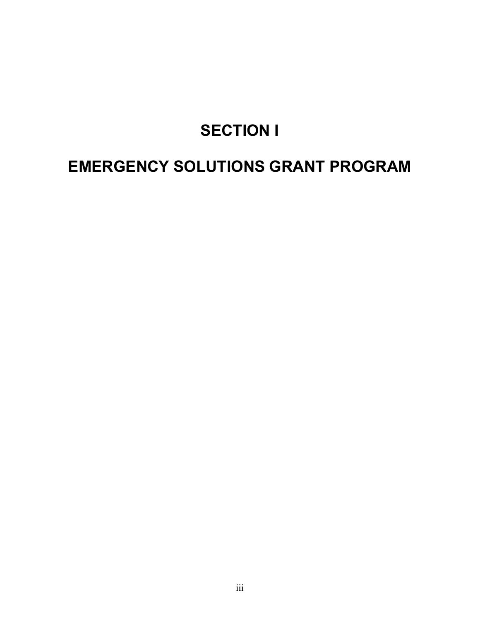# **SECTION I**

# **EMERGENCY SOLUTIONS GRANT PROGRAM**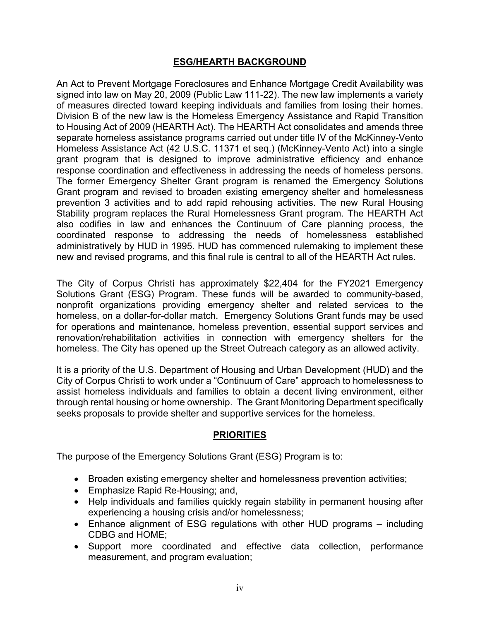#### **ESG/HEARTH BACKGROUND**

An Act to Prevent Mortgage Foreclosures and Enhance Mortgage Credit Availability was signed into law on May 20, 2009 (Public Law 111-22). The new law implements a variety of measures directed toward keeping individuals and families from losing their homes. Division B of the new law is the Homeless Emergency Assistance and Rapid Transition to Housing Act of 2009 (HEARTH Act). The HEARTH Act consolidates and amends three separate homeless assistance programs carried out under title IV of the McKinney-Vento Homeless Assistance Act (42 U.S.C. 11371 et seq.) (McKinney-Vento Act) into a single grant program that is designed to improve administrative efficiency and enhance response coordination and effectiveness in addressing the needs of homeless persons. The former Emergency Shelter Grant program is renamed the Emergency Solutions Grant program and revised to broaden existing emergency shelter and homelessness prevention 3 activities and to add rapid rehousing activities. The new Rural Housing Stability program replaces the Rural Homelessness Grant program. The HEARTH Act also codifies in law and enhances the Continuum of Care planning process, the coordinated response to addressing the needs of homelessness established administratively by HUD in 1995. HUD has commenced rulemaking to implement these new and revised programs, and this final rule is central to all of the HEARTH Act rules.

The City of Corpus Christi has approximately \$22,404 for the FY2021 Emergency Solutions Grant (ESG) Program. These funds will be awarded to community-based, nonprofit organizations providing emergency shelter and related services to the homeless, on a dollar-for-dollar match. Emergency Solutions Grant funds may be used for operations and maintenance, homeless prevention, essential support services and renovation/rehabilitation activities in connection with emergency shelters for the homeless. The City has opened up the Street Outreach category as an allowed activity.

It is a priority of the U.S. Department of Housing and Urban Development (HUD) and the City of Corpus Christi to work under a "Continuum of Care" approach to homelessness to assist homeless individuals and families to obtain a decent living environment, either through rental housing or home ownership. The Grant Monitoring Department specifically seeks proposals to provide shelter and supportive services for the homeless.

### **PRIORITIES**

The purpose of the Emergency Solutions Grant (ESG) Program is to:

- Broaden existing emergency shelter and homelessness prevention activities;
- Emphasize Rapid Re-Housing; and,
- Help individuals and families quickly regain stability in permanent housing after experiencing a housing crisis and/or homelessness;
- Enhance alignment of ESG regulations with other HUD programs including CDBG and HOME;
- Support more coordinated and effective data collection, performance measurement, and program evaluation;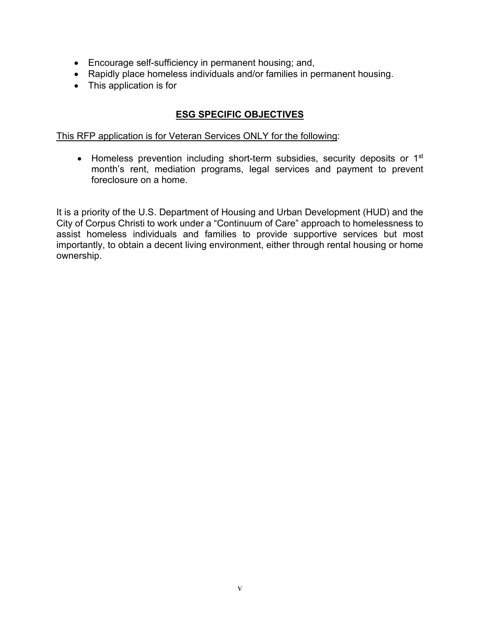- Encourage self-sufficiency in permanent housing; and,
- Rapidly place homeless individuals and/or families in permanent housing.
- This application is for

### **ESG SPECIFIC OBJECTIVES**

This RFP application is for Veteran Services ONLY for the following:

• Homeless prevention including short-term subsidies, security deposits or 1<sup>st</sup> month's rent, mediation programs, legal services and payment to prevent foreclosure on a home.

It is a priority of the U.S. Department of Housing and Urban Development (HUD) and the City of Corpus Christi to work under a "Continuum of Care" approach to homelessness to assist homeless individuals and families to provide supportive services but most importantly, to obtain a decent living environment, either through rental housing or home ownership.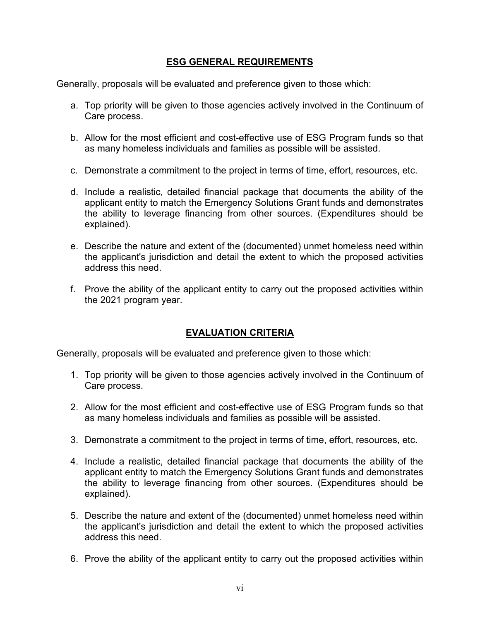#### **ESG GENERAL REQUIREMENTS**

Generally, proposals will be evaluated and preference given to those which:

- a. Top priority will be given to those agencies actively involved in the Continuum of Care process.
- b. Allow for the most efficient and cost-effective use of ESG Program funds so that as many homeless individuals and families as possible will be assisted.
- c. Demonstrate a commitment to the project in terms of time, effort, resources, etc.
- d. Include a realistic, detailed financial package that documents the ability of the applicant entity to match the Emergency Solutions Grant funds and demonstrates the ability to leverage financing from other sources. (Expenditures should be explained).
- e. Describe the nature and extent of the (documented) unmet homeless need within the applicant's jurisdiction and detail the extent to which the proposed activities address this need.
- f. Prove the ability of the applicant entity to carry out the proposed activities within the 2021 program year.

### **EVALUATION CRITERIA**

Generally, proposals will be evaluated and preference given to those which:

- 1. Top priority will be given to those agencies actively involved in the Continuum of Care process.
- 2. Allow for the most efficient and cost-effective use of ESG Program funds so that as many homeless individuals and families as possible will be assisted.
- 3. Demonstrate a commitment to the project in terms of time, effort, resources, etc.
- 4. Include a realistic, detailed financial package that documents the ability of the applicant entity to match the Emergency Solutions Grant funds and demonstrates the ability to leverage financing from other sources. (Expenditures should be explained).
- 5. Describe the nature and extent of the (documented) unmet homeless need within the applicant's jurisdiction and detail the extent to which the proposed activities address this need.
- 6. Prove the ability of the applicant entity to carry out the proposed activities within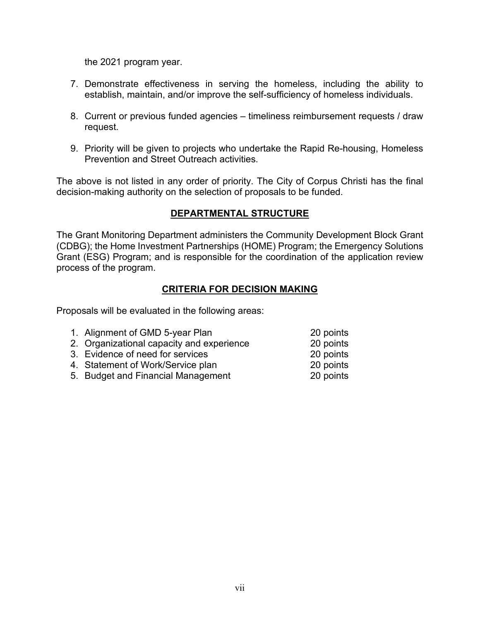the 2021 program year.

- 7. Demonstrate effectiveness in serving the homeless, including the ability to establish, maintain, and/or improve the self-sufficiency of homeless individuals.
- 8. Current or previous funded agencies timeliness reimbursement requests / draw request.
- 9. Priority will be given to projects who undertake the Rapid Re-housing, Homeless Prevention and Street Outreach activities.

The above is not listed in any order of priority. The City of Corpus Christi has the final decision-making authority on the selection of proposals to be funded.

### **DEPARTMENTAL STRUCTURE**

The Grant Monitoring Department administers the Community Development Block Grant (CDBG); the Home Investment Partnerships (HOME) Program; the Emergency Solutions Grant (ESG) Program; and is responsible for the coordination of the application review process of the program.

#### **CRITERIA FOR DECISION MAKING**

Proposals will be evaluated in the following areas:

| 1. Alignment of GMD 5-year Plan           | 20 points |
|-------------------------------------------|-----------|
| 2. Organizational capacity and experience | 20 points |
| 3. Evidence of need for services          | 20 points |
| 4. Statement of Work/Service plan         | 20 points |
| 5. Budget and Financial Management        | 20 points |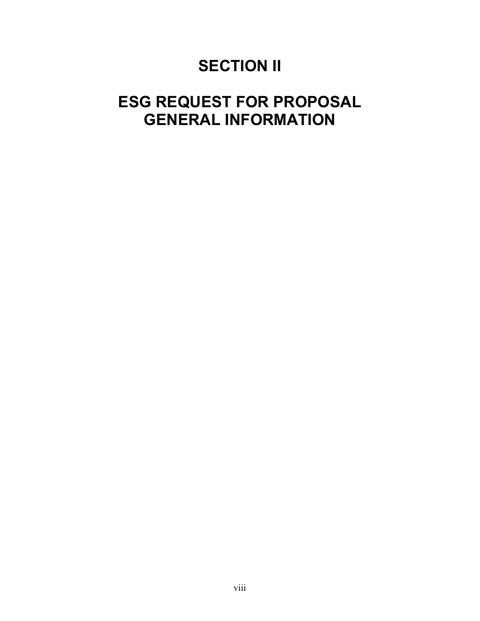# **SECTION II**

# **ESG REQUEST FOR PROPOSAL GENERAL INFORMATION**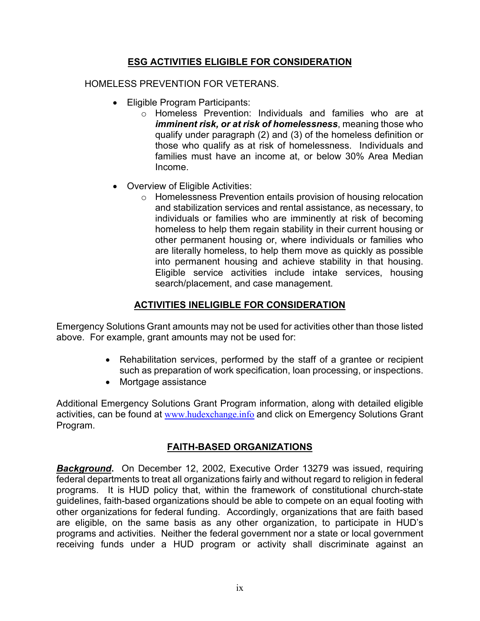### **ESG ACTIVITIES ELIGIBLE FOR CONSIDERATION**

#### HOMELESS PREVENTION FOR VETERANS.

- Eligible Program Participants:
	- o Homeless Prevention: Individuals and families who are at *imminent risk, or at risk of homelessness*, meaning those who qualify under paragraph (2) and (3) of the homeless definition or those who qualify as at risk of homelessness. Individuals and families must have an income at, or below 30% Area Median Income.
- Overview of Eligible Activities:
	- o Homelessness Prevention entails provision of housing relocation and stabilization services and rental assistance, as necessary, to individuals or families who are imminently at risk of becoming homeless to help them regain stability in their current housing or other permanent housing or, where individuals or families who are literally homeless, to help them move as quickly as possible into permanent housing and achieve stability in that housing. Eligible service activities include intake services, housing search/placement, and case management.

### **ACTIVITIES INELIGIBLE FOR CONSIDERATION**

Emergency Solutions Grant amounts may not be used for activities other than those listed above. For example, grant amounts may not be used for:

- Rehabilitation services, performed by the staff of a grantee or recipient such as preparation of work specification, loan processing, or inspections.
- Mortgage assistance

Additional Emergency Solutions Grant Program information, along with detailed eligible activities, can be found at [www.hudexchange.info](http://www.hudexchange.info/) and click on Emergency Solutions Grant Program.

### **FAITH-BASED ORGANIZATIONS**

*Background***.** On December 12, 2002, Executive Order 13279 was issued, requiring federal departments to treat all organizations fairly and without regard to religion in federal programs. It is HUD policy that, within the framework of constitutional church-state guidelines, faith-based organizations should be able to compete on an equal footing with other organizations for federal funding. Accordingly, organizations that are faith based are eligible, on the same basis as any other organization, to participate in HUD's programs and activities. Neither the federal government nor a state or local government receiving funds under a HUD program or activity shall discriminate against an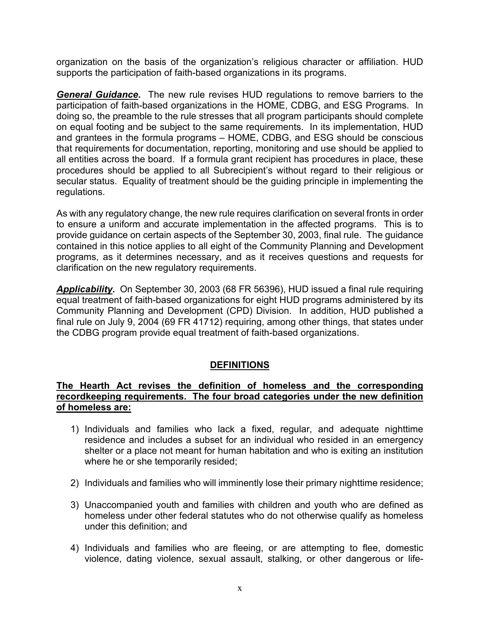organization on the basis of the organization's religious character or affiliation. HUD supports the participation of faith-based organizations in its programs.

*General Guidance***.** The new rule revises HUD regulations to remove barriers to the participation of faith-based organizations in the HOME, CDBG, and ESG Programs. In doing so, the preamble to the rule stresses that all program participants should complete on equal footing and be subject to the same requirements. In its implementation, HUD and grantees in the formula programs – HOME, CDBG, and ESG should be conscious that requirements for documentation, reporting, monitoring and use should be applied to all entities across the board. If a formula grant recipient has procedures in place, these procedures should be applied to all Subrecipient's without regard to their religious or secular status. Equality of treatment should be the guiding principle in implementing the regulations.

As with any regulatory change, the new rule requires clarification on several fronts in order to ensure a uniform and accurate implementation in the affected programs. This is to provide guidance on certain aspects of the September 30, 2003, final rule. The guidance contained in this notice applies to all eight of the Community Planning and Development programs, as it determines necessary, and as it receives questions and requests for clarification on the new regulatory requirements.

*Applicability***.** On September 30, 2003 (68 FR 56396), HUD issued a final rule requiring equal treatment of faith-based organizations for eight HUD programs administered by its Community Planning and Development (CPD) Division. In addition, HUD published a final rule on July 9, 2004 (69 FR 41712) requiring, among other things, that states under the CDBG program provide equal treatment of faith-based organizations.

### **DEFINITIONS**

#### **The Hearth Act revises the definition of homeless and the corresponding recordkeeping requirements. The four broad categories under the new definition of homeless are:**

- 1) Individuals and families who lack a fixed, regular, and adequate nighttime residence and includes a subset for an individual who resided in an emergency shelter or a place not meant for human habitation and who is exiting an institution where he or she temporarily resided;
- 2) Individuals and families who will imminently lose their primary nighttime residence;
- 3) Unaccompanied youth and families with children and youth who are defined as homeless under other federal statutes who do not otherwise qualify as homeless under this definition; and
- 4) Individuals and families who are fleeing, or are attempting to flee, domestic violence, dating violence, sexual assault, stalking, or other dangerous or life-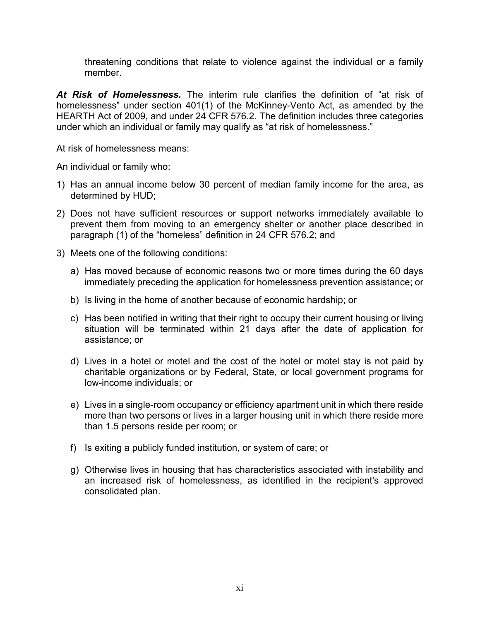threatening conditions that relate to violence against the individual or a family member.

*At Risk of Homelessness.* The interim rule clarifies the definition of "at risk of homelessness" under section 401(1) of the McKinney-Vento Act, as amended by the HEARTH Act of 2009, and under 24 CFR 576.2. The definition includes three categories under which an individual or family may qualify as "at risk of homelessness."

At risk of homelessness means:

An individual or family who:

- 1) Has an annual income below 30 percent of median family income for the area, as determined by HUD;
- 2) Does not have sufficient resources or support networks immediately available to prevent them from moving to an emergency shelter or another place described in paragraph (1) of the "homeless" definition in 24 CFR 576.2; and
- 3) Meets one of the following conditions:
	- a) Has moved because of economic reasons two or more times during the 60 days immediately preceding the application for homelessness prevention assistance; or
	- b) Is living in the home of another because of economic hardship; or
	- c) Has been notified in writing that their right to occupy their current housing or living situation will be terminated within 21 days after the date of application for assistance; or
	- d) Lives in a hotel or motel and the cost of the hotel or motel stay is not paid by charitable organizations or by Federal, State, or local government programs for low-income individuals; or
	- e) Lives in a single-room occupancy or efficiency apartment unit in which there reside more than two persons or lives in a larger housing unit in which there reside more than 1.5 persons reside per room; or
	- f) Is exiting a publicly funded institution, or system of care; or
	- g) Otherwise lives in housing that has characteristics associated with instability and an increased risk of homelessness, as identified in the recipient's approved consolidated plan.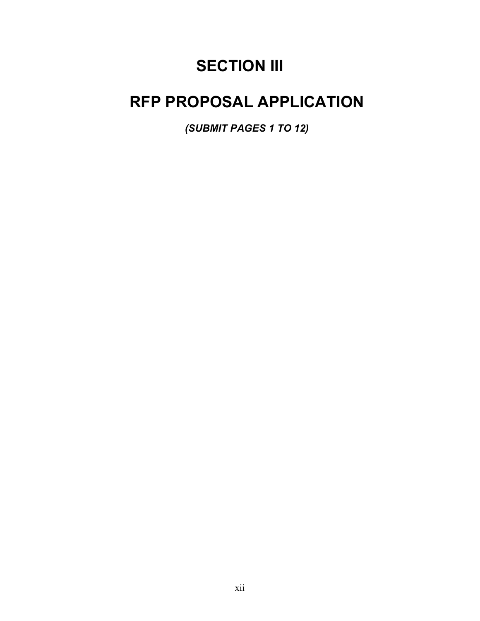# **SECTION III**

# **RFP PROPOSAL APPLICATION**

*(SUBMIT PAGES 1 TO 12)*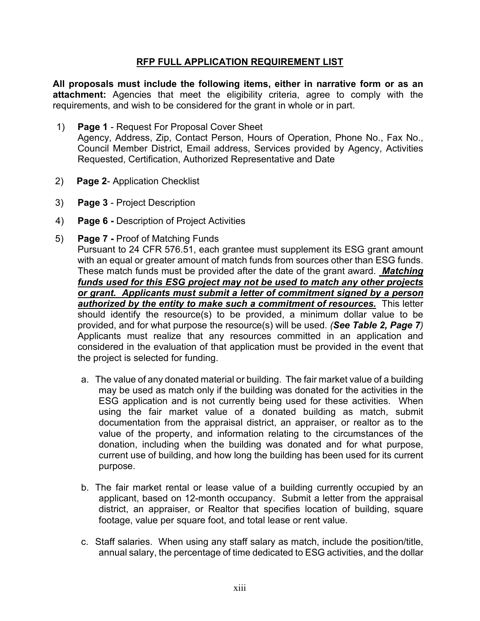#### **RFP FULL APPLICATION REQUIREMENT LIST**

**All proposals must include the following items, either in narrative form or as an attachment:** Agencies that meet the eligibility criteria, agree to comply with the requirements, and wish to be considered for the grant in whole or in part.

- 1) **Page 1** Request For Proposal Cover Sheet Agency, Address, Zip, Contact Person, Hours of Operation, Phone No., Fax No., Council Member District, Email address, Services provided by Agency, Activities Requested, Certification, Authorized Representative and Date
- 2) **Page 2** Application Checklist
- 3) **Page 3** Project Description
- 4) **Page 6 -** Description of Project Activities
- 5) **Page 7 -** Proof of Matching Funds

Pursuant to 24 CFR 576.51, each grantee must supplement its ESG grant amount with an equal or greater amount of match funds from sources other than ESG funds. These match funds must be provided after the date of the grant award. *Matching funds used for this ESG project may not be used to match any other projects or grant. Applicants must submit a letter of commitment signed by a person authorized by the entity to make such a commitment of resources.* This letter should identify the resource(s) to be provided, a minimum dollar value to be provided, and for what purpose the resource(s) will be used. *(See Table 2, Page 7)*  Applicants must realize that any resources committed in an application and considered in the evaluation of that application must be provided in the event that the project is selected for funding.

- a. The value of any donated material or building. The fair market value of a building may be used as match only if the building was donated for the activities in the ESG application and is not currently being used for these activities. When using the fair market value of a donated building as match, submit documentation from the appraisal district, an appraiser, or realtor as to the value of the property, and information relating to the circumstances of the donation, including when the building was donated and for what purpose, current use of building, and how long the building has been used for its current purpose.
- b. The fair market rental or lease value of a building currently occupied by an applicant, based on 12-month occupancy. Submit a letter from the appraisal district, an appraiser, or Realtor that specifies location of building, square footage, value per square foot, and total lease or rent value.
- c. Staff salaries. When using any staff salary as match, include the position/title, annual salary, the percentage of time dedicated to ESG activities, and the dollar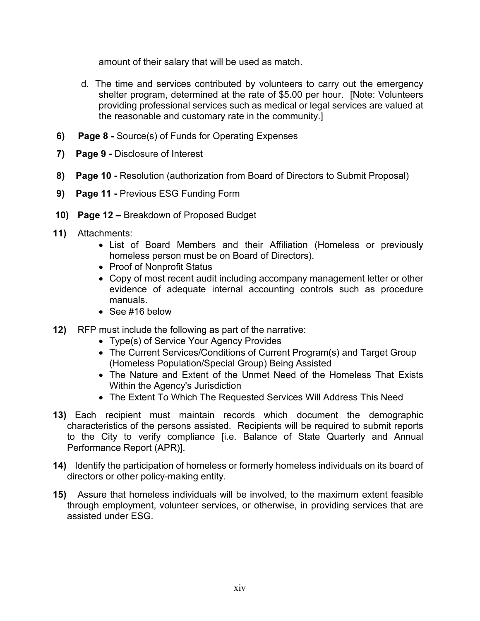amount of their salary that will be used as match.

- d. The time and services contributed by volunteers to carry out the emergency shelter program, determined at the rate of \$5.00 per hour. [Note: Volunteers providing professional services such as medical or legal services are valued at the reasonable and customary rate in the community.]
- **6) Page 8 -** Source(s) of Funds for Operating Expenses
- **7) Page 9 -** Disclosure of Interest
- **8) Page 10 -** Resolution (authorization from Board of Directors to Submit Proposal)
- **9) Page 11 -** Previous ESG Funding Form
- **10) Page 12 –** Breakdown of Proposed Budget
- **11)** Attachments:
	- List of Board Members and their Affiliation (Homeless or previously homeless person must be on Board of Directors).
	- Proof of Nonprofit Status
	- Copy of most recent audit including accompany management letter or other evidence of adequate internal accounting controls such as procedure manuals.
	- See #16 below
- **12)** RFP must include the following as part of the narrative:
	- Type(s) of Service Your Agency Provides
	- The Current Services/Conditions of Current Program(s) and Target Group (Homeless Population/Special Group) Being Assisted
	- The Nature and Extent of the Unmet Need of the Homeless That Exists Within the Agency's Jurisdiction
	- The Extent To Which The Requested Services Will Address This Need
- **13)** Each recipient must maintain records which document the demographic characteristics of the persons assisted. Recipients will be required to submit reports to the City to verify compliance [i.e. Balance of State Quarterly and Annual Performance Report (APR)].
- **14)** Identify the participation of homeless or formerly homeless individuals on its board of directors or other policy-making entity.
- **15)** Assure that homeless individuals will be involved, to the maximum extent feasible through employment, volunteer services, or otherwise, in providing services that are assisted under ESG.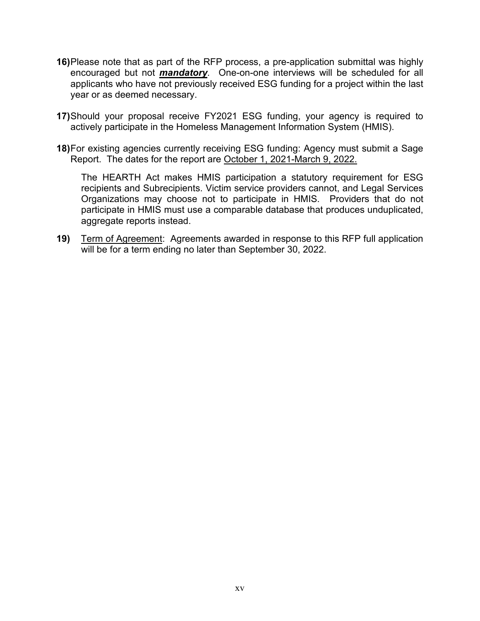- **16)**Please note that as part of the RFP process, a pre-application submittal was highly encouraged but not *mandatory.* One-on-one interviews will be scheduled for all applicants who have not previously received ESG funding for a project within the last year or as deemed necessary.
- **17)**Should your proposal receive FY2021 ESG funding, your agency is required to actively participate in the Homeless Management Information System (HMIS).
- **18)**For existing agencies currently receiving ESG funding: Agency must submit a Sage Report. The dates for the report are October 1, 2021-March 9, 2022.

The HEARTH Act makes HMIS participation a statutory requirement for ESG recipients and Subrecipients. Victim service providers cannot, and Legal Services Organizations may choose not to participate in HMIS. Providers that do not participate in HMIS must use a comparable database that produces unduplicated, aggregate reports instead.

**19)** Term of Agreement: Agreements awarded in response to this RFP full application will be for a term ending no later than September 30, 2022.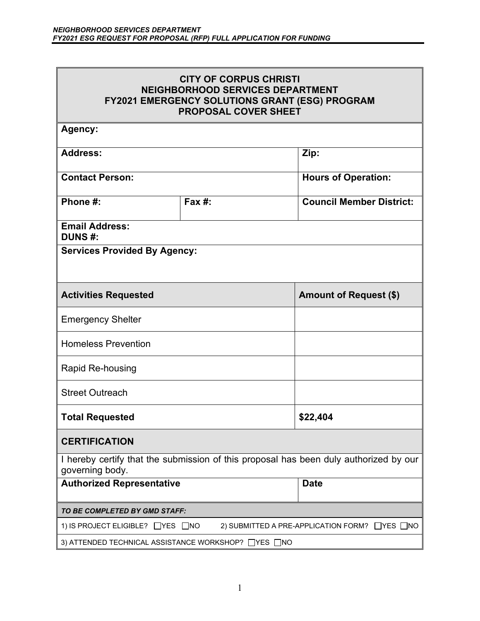| <b>CITY OF CORPUS CHRISTI</b><br><b>NEIGHBORHOOD SERVICES DEPARTMENT</b><br>FY2021 EMERGENCY SOLUTIONS GRANT (ESG) PROGRAM<br><b>PROPOSAL COVER SHEET</b> |           |                                 |  |  |
|-----------------------------------------------------------------------------------------------------------------------------------------------------------|-----------|---------------------------------|--|--|
| Agency:                                                                                                                                                   |           |                                 |  |  |
| <b>Address:</b>                                                                                                                                           |           | Zip:                            |  |  |
| <b>Contact Person:</b>                                                                                                                                    |           | <b>Hours of Operation:</b>      |  |  |
| Phone #:                                                                                                                                                  | Fax $#$ : | <b>Council Member District:</b> |  |  |
| <b>Email Address:</b><br><b>DUNS#:</b>                                                                                                                    |           |                                 |  |  |
| <b>Services Provided By Agency:</b>                                                                                                                       |           |                                 |  |  |
| <b>Amount of Request (\$)</b><br><b>Activities Requested</b>                                                                                              |           |                                 |  |  |
| <b>Emergency Shelter</b>                                                                                                                                  |           |                                 |  |  |
| <b>Homeless Prevention</b>                                                                                                                                |           |                                 |  |  |
| <b>Rapid Re-housing</b>                                                                                                                                   |           |                                 |  |  |
| <b>Street Outreach</b>                                                                                                                                    |           |                                 |  |  |
| \$22,404<br><b>Total Requested</b>                                                                                                                        |           |                                 |  |  |
| <b>CERTIFICATION</b>                                                                                                                                      |           |                                 |  |  |
| I hereby certify that the submission of this proposal has been duly authorized by our<br>governing body.                                                  |           |                                 |  |  |
| <b>Authorized Representative</b>                                                                                                                          |           | <b>Date</b>                     |  |  |
| TO BE COMPLETED BY GMD STAFF:                                                                                                                             |           |                                 |  |  |
| 1) IS PROJECT ELIGIBLE? □YES □NO<br>2) SUBMITTED A PRE-APPLICATION FORM? ■ YES ■ NO                                                                       |           |                                 |  |  |
| 3) ATTENDED TECHNICAL ASSISTANCE WORKSHOP? □YES □NO                                                                                                       |           |                                 |  |  |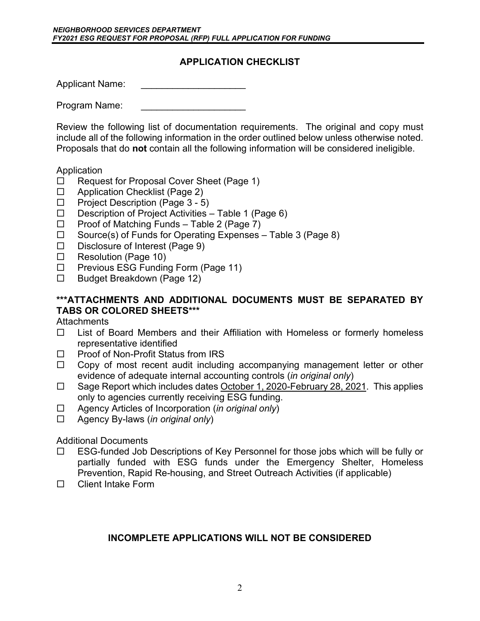### **APPLICATION CHECKLIST**

Applicant Name:

Program Name:

Review the following list of documentation requirements. The original and copy must include all of the following information in the order outlined below unless otherwise noted. Proposals that do **not** contain all the following information will be considered ineligible.

#### Application

- □ Request for Proposal Cover Sheet (Page 1)
- □ Application Checklist (Page 2)
- $\Box$  Project Description (Page 3 5)
- $\Box$  Description of Project Activities Table 1 (Page 6)
- $\Box$  Proof of Matching Funds Table 2 (Page 7)
- $\Box$  Source(s) of Funds for Operating Expenses Table 3 (Page 8)
- $\Box$  Disclosure of Interest (Page 9)
- □ Resolution (Page 10)
- $\Box$  Previous ESG Funding Form (Page 11)
- □ Budget Breakdown (Page 12)

### **\*\*\*ATTACHMENTS AND ADDITIONAL DOCUMENTS MUST BE SEPARATED BY TABS OR COLORED SHEETS\*\*\***

**Attachments** 

- $\Box$  List of Board Members and their Affiliation with Homeless or formerly homeless representative identified
- $\Box$  Proof of Non-Profit Status from IRS
- $\Box$  Copy of most recent audit including accompanying management letter or other evidence of adequate internal accounting controls (*in original only*)
- $\Box$  Sage Report which includes dates October 1, 2020-February 28, 2021. This applies only to agencies currently receiving ESG funding.
- Agency Articles of Incorporation (*in original only*)
- Agency By-laws (*in original only*)

Additional Documents

- ESG-funded Job Descriptions of Key Personnel for those jobs which will be fully or partially funded with ESG funds under the Emergency Shelter, Homeless Prevention, Rapid Re-housing, and Street Outreach Activities (if applicable)
- □ Client Intake Form

### **INCOMPLETE APPLICATIONS WILL NOT BE CONSIDERED**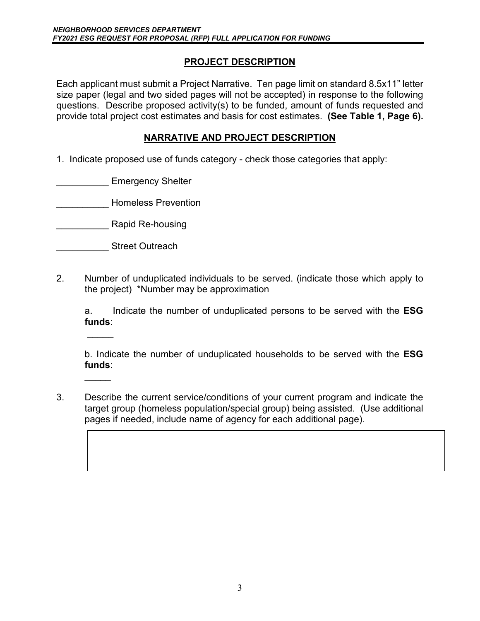### **PROJECT DESCRIPTION**

Each applicant must submit a Project Narrative. Ten page limit on standard 8.5x11" letter size paper (legal and two sided pages will not be accepted) in response to the following questions. Describe proposed activity(s) to be funded, amount of funds requested and provide total project cost estimates and basis for cost estimates. **(See Table 1, Page 6).**

### **NARRATIVE AND PROJECT DESCRIPTION**

1. Indicate proposed use of funds category - check those categories that apply:

Emergency Shelter

\_\_\_\_\_\_\_\_\_\_ Homeless Prevention

- \_\_\_\_\_\_\_\_\_\_ Rapid Re-housing
- **\_\_\_\_\_\_\_\_\_\_\_** Street Outreach

 $\overline{\phantom{a}}$ 

 $\overline{a}$ 

2. Number of unduplicated individuals to be served. (indicate those which apply to the project) \*Number may be approximation

a. Indicate the number of unduplicated persons to be served with the **ESG funds**:

b. Indicate the number of unduplicated households to be served with the **ESG funds**:

3. Describe the current service/conditions of your current program and indicate the target group (homeless population/special group) being assisted. (Use additional pages if needed, include name of agency for each additional page).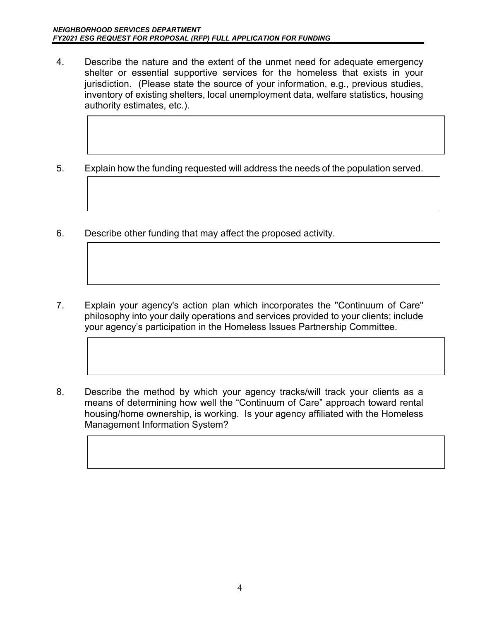- 4. Describe the nature and the extent of the unmet need for adequate emergency shelter or essential supportive services for the homeless that exists in your jurisdiction. (Please state the source of your information, e.g., previous studies, inventory of existing shelters, local unemployment data, welfare statistics, housing authority estimates, etc.).
- 5. Explain how the funding requested will address the needs of the population served.
- 6. Describe other funding that may affect the proposed activity.
- 7. Explain your agency's action plan which incorporates the "Continuum of Care" philosophy into your daily operations and services provided to your clients; include your agency's participation in the Homeless Issues Partnership Committee.
- 8. Describe the method by which your agency tracks/will track your clients as a means of determining how well the "Continuum of Care" approach toward rental housing/home ownership, is working. Is your agency affiliated with the Homeless Management Information System?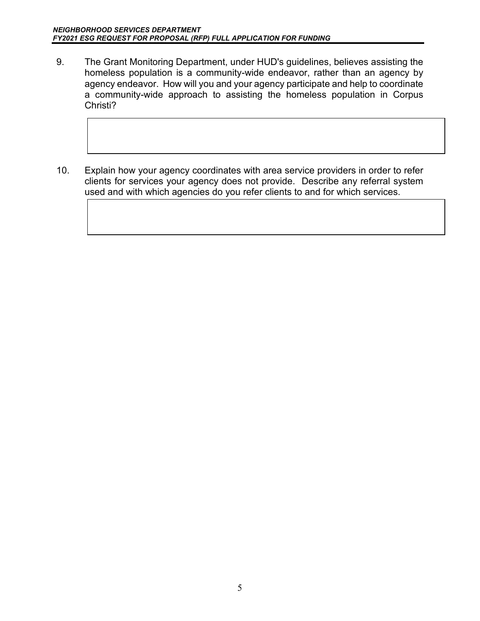- 9. The Grant Monitoring Department, under HUD's guidelines, believes assisting the homeless population is a community-wide endeavor, rather than an agency by agency endeavor. How will you and your agency participate and help to coordinate a community-wide approach to assisting the homeless population in Corpus Christi?
- 10. Explain how your agency coordinates with area service providers in order to refer clients for services your agency does not provide. Describe any referral system used and with which agencies do you refer clients to and for which services.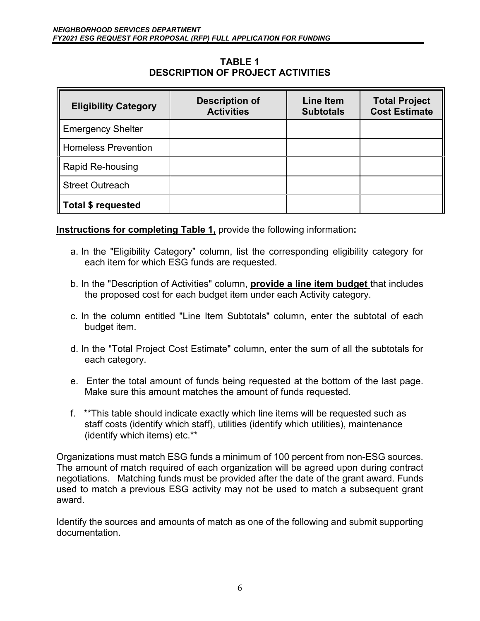#### **TABLE 1 DESCRIPTION OF PROJECT ACTIVITIES**

| <b>Eligibility Category</b> | <b>Description of</b><br><b>Activities</b> | <b>Line Item</b><br><b>Subtotals</b> | <b>Total Project</b><br><b>Cost Estimate</b> |
|-----------------------------|--------------------------------------------|--------------------------------------|----------------------------------------------|
| <b>Emergency Shelter</b>    |                                            |                                      |                                              |
| Homeless Prevention         |                                            |                                      |                                              |
| Rapid Re-housing            |                                            |                                      |                                              |
| <b>Street Outreach</b>      |                                            |                                      |                                              |
| Total \$ requested          |                                            |                                      |                                              |

### **Instructions for completing Table 1,** provide the following information**:**

- a. In the "Eligibility Category" column, list the corresponding eligibility category for each item for which ESG funds are requested.
- b. In the "Description of Activities" column, **provide a line item budget** that includes the proposed cost for each budget item under each Activity category.
- c. In the column entitled "Line Item Subtotals" column, enter the subtotal of each budget item.
- d. In the "Total Project Cost Estimate" column, enter the sum of all the subtotals for each category.
- e. Enter the total amount of funds being requested at the bottom of the last page. Make sure this amount matches the amount of funds requested.
- f. \*\*This table should indicate exactly which line items will be requested such as staff costs (identify which staff), utilities (identify which utilities), maintenance (identify which items) etc.\*\*

Organizations must match ESG funds a minimum of 100 percent from non-ESG sources. The amount of match required of each organization will be agreed upon during contract negotiations. Matching funds must be provided after the date of the grant award. Funds used to match a previous ESG activity may not be used to match a subsequent grant award.

Identify the sources and amounts of match as one of the following and submit supporting documentation.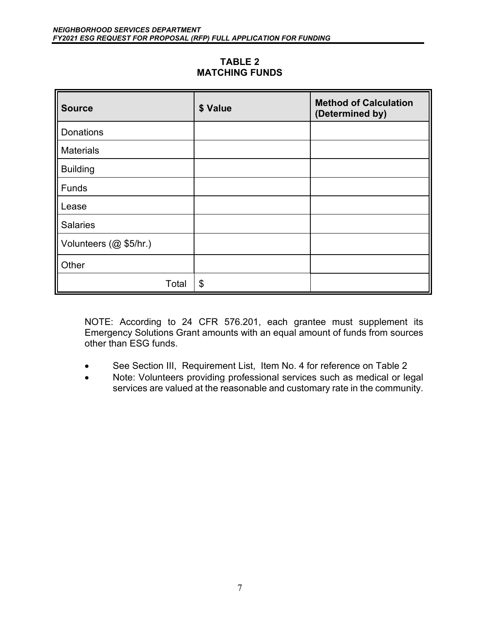#### **TABLE 2 MATCHING FUNDS**

| <b>Source</b>          | \$ Value | <b>Method of Calculation</b><br>(Determined by) |
|------------------------|----------|-------------------------------------------------|
| <b>Donations</b>       |          |                                                 |
| <b>Materials</b>       |          |                                                 |
| <b>Building</b>        |          |                                                 |
| Funds                  |          |                                                 |
| Lease                  |          |                                                 |
| <b>Salaries</b>        |          |                                                 |
| Volunteers (@ \$5/hr.) |          |                                                 |
| Other                  |          |                                                 |
| Total                  | \$       |                                                 |

NOTE: According to 24 CFR 576.201, each grantee must supplement its Emergency Solutions Grant amounts with an equal amount of funds from sources other than ESG funds.

- See Section III, Requirement List, Item No. 4 for reference on Table 2
- Note: Volunteers providing professional services such as medical or legal services are valued at the reasonable and customary rate in the community.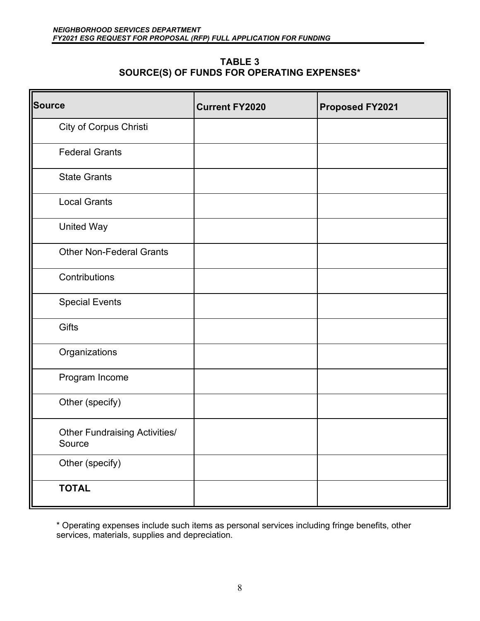| <b>TABLE 3</b>                                    |
|---------------------------------------------------|
| <b>SOURCE(S) OF FUNDS FOR OPERATING EXPENSES*</b> |

| <b>Source</b>                                  | <b>Current FY2020</b> | <b>Proposed FY2021</b> |
|------------------------------------------------|-----------------------|------------------------|
| City of Corpus Christi                         |                       |                        |
| <b>Federal Grants</b>                          |                       |                        |
| <b>State Grants</b>                            |                       |                        |
| <b>Local Grants</b>                            |                       |                        |
| <b>United Way</b>                              |                       |                        |
| <b>Other Non-Federal Grants</b>                |                       |                        |
| Contributions                                  |                       |                        |
| <b>Special Events</b>                          |                       |                        |
| Gifts                                          |                       |                        |
| Organizations                                  |                       |                        |
| Program Income                                 |                       |                        |
| Other (specify)                                |                       |                        |
| <b>Other Fundraising Activities/</b><br>Source |                       |                        |
| Other (specify)                                |                       |                        |
| <b>TOTAL</b>                                   |                       |                        |

\* Operating expenses include such items as personal services including fringe benefits, other services, materials, supplies and depreciation.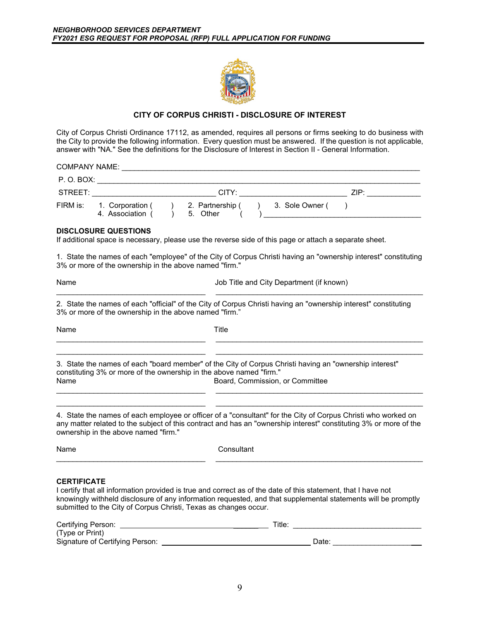

#### **CITY OF CORPUS CHRISTI - DISCLOSURE OF INTEREST**

City of Corpus Christi Ordinance 17112, as amended, requires all persons or firms seeking to do business with the City to provide the following information. Every question must be answered. If the question is not applicable, answer with "NA." See the definitions for the Disclosure of Interest in Section II - General Information.

| <b>COMPANY NAME:</b> |                                      |                              |       |                 |  |
|----------------------|--------------------------------------|------------------------------|-------|-----------------|--|
| P. O. BOX:           |                                      |                              |       |                 |  |
| STREET:              |                                      |                              | CITY: | ZIP:            |  |
| FIRM is:             | 1. Corporation (<br>4. Association ( | 2. Partnership (<br>5. Other |       | 3. Sole Owner ( |  |

#### **DISCLOSURE QUESTIONS**

If additional space is necessary, please use the reverse side of this page or attach a separate sheet.

1. State the names of each "employee" of the City of Corpus Christi having an "ownership interest" constituting 3% or more of the ownership in the above named "firm."

Name Job Title and City Department (if known) \_\_\_\_\_\_\_\_\_\_\_\_\_\_\_\_\_\_\_\_\_\_\_\_\_\_\_\_\_\_\_\_\_\_\_\_ \_\_\_\_\_\_\_\_\_\_\_\_\_\_\_\_\_\_\_\_\_\_\_\_\_\_\_\_\_\_\_\_\_\_\_\_\_\_\_\_\_\_\_\_\_\_\_\_\_\_

2. State the names of each "official" of the City of Corpus Christi having an "ownership interest" constituting 3% or more of the ownership in the above named "firm."

| Name                                                                        | Title                                                                                                                                     |
|-----------------------------------------------------------------------------|-------------------------------------------------------------------------------------------------------------------------------------------|
| constituting 3% or more of the ownership in the above named "firm."<br>Name | 3. State the names of each "board member" of the City of Corpus Christi having an "ownership interest"<br>Board, Commission, or Committee |
|                                                                             | A State the names of each employee or officer of a "consultant" for the City of Cernus Christi who worked on                              |

4. State the names of each employee or officer of a "consultant" for the City of Corpus Christi who worked on any matter related to the subject of this contract and has an "ownership interest" constituting 3% or more of the ownership in the above named "firm."

| Name | Consultant |
|------|------------|
|      |            |

#### **CERTIFICATE**

I certify that all information provided is true and correct as of the date of this statement, that I have not knowingly withheld disclosure of any information requested, and that supplemental statements will be promptly submitted to the City of Corpus Christi, Texas as changes occur.

| Certifying Person:              | $\tau$ itle. |
|---------------------------------|--------------|
| (Type or Print)                 |              |
| Signature of Certifying Person: | Date:        |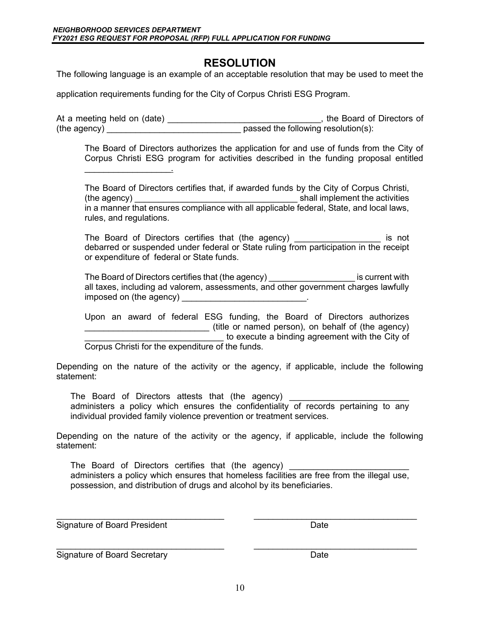### **RESOLUTION**

The following language is an example of an acceptable resolution that may be used to meet the

application requirements funding for the City of Corpus Christi ESG Program.

At a meeting held on (date) \_\_\_\_\_\_\_\_\_\_\_\_\_\_\_\_\_\_\_\_\_\_\_\_\_\_\_\_\_\_\_\_\_, the Board of Directors of (the agency) \_\_\_\_\_\_\_\_\_\_\_\_\_\_\_\_\_\_\_\_\_\_\_\_\_\_\_\_ passed the following resolution(s):

The Board of Directors authorizes the application for and use of funds from the City of Corpus Christi ESG program for activities described in the funding proposal entitled

The Board of Directors certifies that, if awarded funds by the City of Corpus Christi, (the agency) \_\_\_\_\_\_\_\_\_\_\_\_\_\_\_\_\_\_\_\_\_\_\_\_\_\_\_\_\_\_\_\_\_\_ shall implement the activities in a manner that ensures compliance with all applicable federal, State, and local laws, rules, and regulations.

The Board of Directors certifies that (the agency) The Board of Directors certifies that (the agency) debarred or suspended under federal or State ruling from participation in the receipt or expenditure of federal or State funds.

The Board of Directors certifies that (the agency) \_\_\_\_\_\_\_\_\_\_\_\_\_\_\_\_\_\_\_\_\_\_\_ is current with all taxes, including ad valorem, assessments, and other government charges lawfully imposed on (the agency) and the state of the state of the state of the state of the state of the state of the s

Upon an award of federal ESG funding, the Board of Directors authorizes \_\_\_\_\_\_\_\_\_\_\_\_\_\_\_\_\_\_\_\_\_\_\_\_\_\_ (title or named person), on behalf of (the agency) **EXECUTE:** The state of the execute a binding agreement with the City of

Corpus Christi for the expenditure of the funds.

\_\_\_\_\_\_\_\_\_\_\_\_\_\_\_\_\_\_.

Depending on the nature of the activity or the agency, if applicable, include the following statement:

The Board of Directors attests that (the agency) \_\_\_\_\_\_\_\_\_\_\_\_\_\_\_\_\_\_\_\_\_\_\_\_\_\_\_\_\_\_\_ administers a policy which ensures the confidentiality of records pertaining to any individual provided family violence prevention or treatment services.

Depending on the nature of the activity or the agency, if applicable, include the following statement:

The Board of Directors certifies that (the agency) administers a policy which ensures that homeless facilities are free from the illegal use, possession, and distribution of drugs and alcohol by its beneficiaries.

\_\_\_\_\_\_\_\_\_\_\_\_\_\_\_\_\_\_\_\_\_\_\_\_\_\_\_\_\_\_\_\_\_\_\_ \_\_\_\_\_\_\_\_\_\_\_\_\_\_\_\_\_\_\_\_\_\_\_\_\_\_\_\_\_\_\_\_\_\_ Signature of Board President November 2012 1994

\_\_\_\_\_\_\_\_\_\_\_\_\_\_\_\_\_\_\_\_\_\_\_\_\_\_\_\_\_\_\_\_\_\_\_ \_\_\_\_\_\_\_\_\_\_\_\_\_\_\_\_\_\_\_\_\_\_\_\_\_\_\_\_\_\_\_\_\_\_ Signature of Board Secretary **Date** Date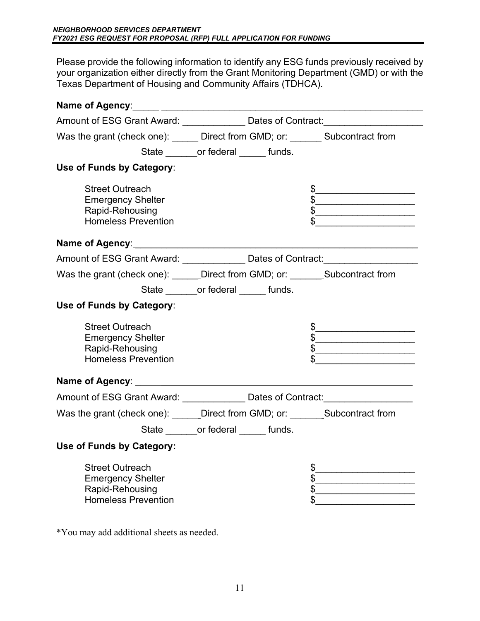Please provide the following information to identify any ESG funds previously received by your organization either directly from the Grant Monitoring Department (GMD) or with the Texas Department of Housing and Community Affairs (TDHCA).

| Amount of ESG Grant Award: _______________ Dates of Contract: __________________                    |                                         |                                                                                                                                                                                                                                                                                                                                                                                                                                                                                                 |
|-----------------------------------------------------------------------------------------------------|-----------------------------------------|-------------------------------------------------------------------------------------------------------------------------------------------------------------------------------------------------------------------------------------------------------------------------------------------------------------------------------------------------------------------------------------------------------------------------------------------------------------------------------------------------|
| Was the grant (check one): ______Direct from GMD; or: _______Subcontract from                       |                                         |                                                                                                                                                                                                                                                                                                                                                                                                                                                                                                 |
|                                                                                                     | State ________or federal ______ funds.  |                                                                                                                                                                                                                                                                                                                                                                                                                                                                                                 |
| Use of Funds by Category:                                                                           |                                         |                                                                                                                                                                                                                                                                                                                                                                                                                                                                                                 |
| <b>Street Outreach</b><br><b>Emergency Shelter</b><br>Rapid-Rehousing<br><b>Homeless Prevention</b> |                                         | $\frac{1}{2}$<br>$\frac{1}{2}$<br>$\begin{array}{c c}\n\hline\n\end{array}$                                                                                                                                                                                                                                                                                                                                                                                                                     |
|                                                                                                     |                                         |                                                                                                                                                                                                                                                                                                                                                                                                                                                                                                 |
| Amount of ESG Grant Award: ________________ Dates of Contract: _________________                    |                                         |                                                                                                                                                                                                                                                                                                                                                                                                                                                                                                 |
| Was the grant (check one): ______Direct from GMD; or: _______Subcontract from                       |                                         |                                                                                                                                                                                                                                                                                                                                                                                                                                                                                                 |
|                                                                                                     | State ________ or federal ______ funds. |                                                                                                                                                                                                                                                                                                                                                                                                                                                                                                 |
| Use of Funds by Category:                                                                           |                                         |                                                                                                                                                                                                                                                                                                                                                                                                                                                                                                 |
| <b>Street Outreach</b><br><b>Emergency Shelter</b><br>Rapid-Rehousing<br><b>Homeless Prevention</b> |                                         | $\begin{array}{c c c c c} \hline \multicolumn{3}{c }{\textbf{\small{5}}} & \multicolumn{3}{c }{\textbf{\small{5}}} & \multicolumn{3}{c }{\textbf{\small{5}}} & \multicolumn{3}{c }{\textbf{\small{5}}} & \multicolumn{3}{c }{\textbf{\small{5}}} & \multicolumn{3}{c }{\textbf{\small{5}}} & \multicolumn{3}{c }{\textbf{\small{5}}} & \multicolumn{3}{c }{\textbf{\small{5}}} & \multicolumn{3}{c }{\textbf{\small{5}}} & \multicolumn{3}{c }{\textbf{\small{5}}} & \multicolumn{3}{c }{\text$ |
|                                                                                                     |                                         |                                                                                                                                                                                                                                                                                                                                                                                                                                                                                                 |
| Amount of ESG Grant Award: ________________ Dates of Contract: _________________                    |                                         |                                                                                                                                                                                                                                                                                                                                                                                                                                                                                                 |
| Was the grant (check one): ______Direct from GMD; or: _________Subcontract from                     |                                         |                                                                                                                                                                                                                                                                                                                                                                                                                                                                                                 |
|                                                                                                     | State ________or federal ______ funds.  |                                                                                                                                                                                                                                                                                                                                                                                                                                                                                                 |
| Use of Funds by Category:                                                                           |                                         |                                                                                                                                                                                                                                                                                                                                                                                                                                                                                                 |
| <b>Street Outreach</b><br><b>Emergency Shelter</b><br>Rapid-Rehousing<br><b>Homeless Prevention</b> |                                         | \$<br>\$<br>\$<br>\$                                                                                                                                                                                                                                                                                                                                                                                                                                                                            |

\*You may add additional sheets as needed.